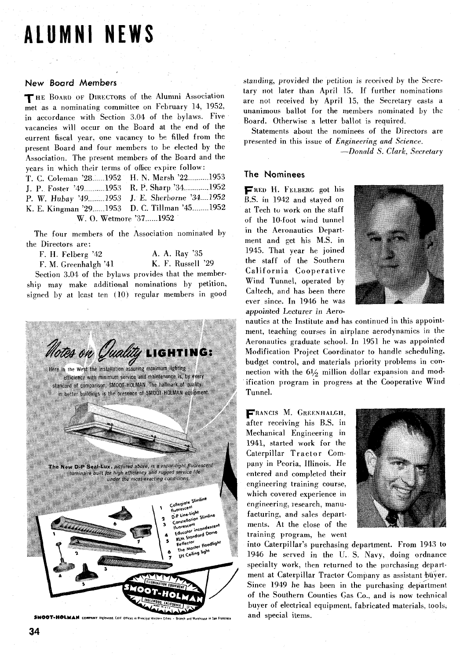# **ALUMNI NEWS**

### **New Board Members**

THE BOARD OF DIRECTORS of the Alumni Association  $m$ <sub>et as a nominating committee on February 14, 1952</sub>, in accordance with Section 3.04 of the bylaws. Five vacancies will occur on the Board at the end of the current fiscal year, one vacancy to be filled from the present Board and four members to be elected by the Association. The present members of the Board and the years in which their terms of office expire follow: T. C. Coleman '28 ..... 1952 H. N. Marsh '22 ......... 1953 J. P. Foster '49 .......... 1953 R. P. Sharp '34 '............ 1952 P. W. Hubay '49........ 1953 J. E. Sherborne '34.... 1952 K. E. Kingman '29 ...... 1953 D. C, Tillman '45 ........ 1952

W. 0. Wetmore **'37** ...... <sup>1952</sup>

The four members of the Association nominated by the Directors are:

F. H. Felberg '42 **A. A. Ray '35**<br>F. M. Greenhalgh '41 **K. F. Russell '29** F. M. Greenhalgh '41 Section 3.04 of the bylaws provides that the membership may make additional nominations by petition, signed by at least ten  $(10)$  regular members in good



SMOOT-HOLMAN COMPANY Inglewood. Calif Offices in Principal

standing, provided the petition is received by the Secretary not later than April 15. If further nominations are not received by April 15, the Secretary casts a unanimous ballot for the members nominated by the Board. Otherwise **3** letter ballot is required,

Statements about the nominees of the Directors are presented in this issue of *Engineering and Science.* 

 $-Donald S. Clark, Secretary$ 

#### **The Nominees**

**FRED** H. **FLLBERG** got his B.S. in 1942 and stayed on at Tech to work on the staff of the 10-foot wind tunnel in the Aeronautics Department and get his M.S. in 1945. That year he joined the staff of the Southern California Cooperative Wind Tunnel, operated by Caltech, and has been there ever since. In 1946 he was appointed Lecturer in Aero-



nautics at the Institute and has continued in this appointment, teaching courses in airplane aerodynamics in the Aeronautics graduate school. In 1951 he was appointed Modification Project Coordinator to handle scheduling, budget control, and materials priority problems in connection with the  $6\frac{1}{2}$  million dollar expansion and modification program in progress at the Cooperative Wind Tunnel.

**FRANCIS M. CREENHALGH,**  after receiving his B.S. in Mechanical Engineering in 1941, started work for the Caterpillar Tractor Company in Peoria, Illinois. He entered and completed their engineering training course. which covered experience in engineering, research, manufacturing, and sales departments. **At** the close of the training program' he went



into Caterpillar's purchasing department. From 1943 to 1946 he served in the U.S. Navy, doing ordnance specialty work, then returned to the purchasing department at Caterpillar Tractor Company as assistant buyer. Since 1949 he has been in the purchasing department of the Southern Counties Gas Co., and is now technica1 buyer of electrical equipment, fabricated materials, tools, and special items.